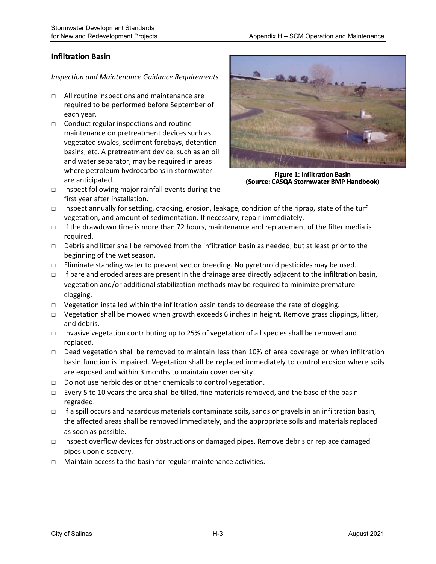## **Infiltration Basin**

- □ All routine inspections and maintenance are required to be performed before September of each year.
- $\Box$  Conduct regular inspections and routine maintenance on pretreatment devices such as vegetated swales, sediment forebays, detention basins, etc. A pretreatment device, such as an oil and water separator, may be required in areas where petroleum hydrocarbons in stormwater are anticipated.
- $\Box$  Inspect following major rainfall events during the first year after installation.



**Figure 1: Infiltration Basin (Source: CASQA Stormwater BMP Handbook)** 

- $\Box$  Inspect annually for settling, cracking, erosion, leakage, condition of the riprap, state of the turf vegetation, and amount of sedimentation. If necessary, repair immediately.
- $\Box$  If the drawdown time is more than 72 hours, maintenance and replacement of the filter media is required.
- $\Box$  Debris and litter shall be removed from the infiltration basin as needed, but at least prior to the beginning of the wet season.
- $\Box$  Eliminate standing water to prevent vector breeding. No pyrethroid pesticides may be used.
- $\Box$  If bare and eroded areas are present in the drainage area directly adjacent to the infiltration basin, vegetation and/or additional stabilization methods may be required to minimize premature clogging.
- $\Box$  Vegetation installed within the infiltration basin tends to decrease the rate of clogging.
- □ Vegetation shall be mowed when growth exceeds 6 inches in height. Remove grass clippings, litter, and debris.
- $\Box$  Invasive vegetation contributing up to 25% of vegetation of all species shall be removed and replaced.
- □ Dead vegetation shall be removed to maintain less than 10% of area coverage or when infiltration basin function is impaired. Vegetation shall be replaced immediately to control erosion where soils are exposed and within 3 months to maintain cover density.
- □ Do not use herbicides or other chemicals to control vegetation.
- □ Every 5 to 10 years the area shall be tilled, fine materials removed, and the base of the basin regraded.
- □ If a spill occurs and hazardous materials contaminate soils, sands or gravels in an infiltration basin, the affected areas shall be removed immediately, and the appropriate soils and materials replaced as soon as possible.
- $\Box$  Inspect overflow devices for obstructions or damaged pipes. Remove debris or replace damaged pipes upon discovery.
- □ Maintain access to the basin for regular maintenance activities.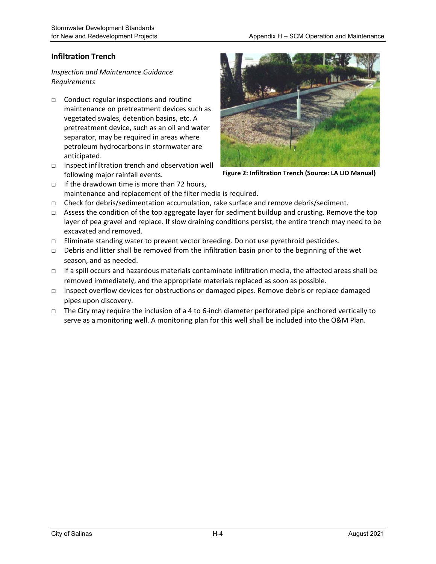## **Infiltration Trench**

- $\Box$  Conduct regular inspections and routine maintenance on pretreatment devices such as vegetated swales, detention basins, etc. A pretreatment device, such as an oil and water separator, may be required in areas where petroleum hydrocarbons in stormwater are anticipated.
- □ Inspect infiltration trench and observation well following major rainfall events.



**Figure 2: Infiltration Trench (Source: LA LID Manual)**

- $\Box$  If the drawdown time is more than 72 hours, maintenance and replacement of the filter media is required.
- □ Check for debris/sedimentation accumulation, rake surface and remove debris/sediment.
- $\Box$  Assess the condition of the top aggregate layer for sediment buildup and crusting. Remove the top layer of pea gravel and replace. If slow draining conditions persist, the entire trench may need to be excavated and removed.
- $\square$  Eliminate standing water to prevent vector breeding. Do not use pyrethroid pesticides.
- □ Debris and litter shall be removed from the infiltration basin prior to the beginning of the wet season, and as needed.
- $\Box$  If a spill occurs and hazardous materials contaminate infiltration media, the affected areas shall be removed immediately, and the appropriate materials replaced as soon as possible.
- $\Box$  Inspect overflow devices for obstructions or damaged pipes. Remove debris or replace damaged pipes upon discovery.
- $\Box$  The City may require the inclusion of a 4 to 6-inch diameter perforated pipe anchored vertically to serve as a monitoring well. A monitoring plan for this well shall be included into the O&M Plan.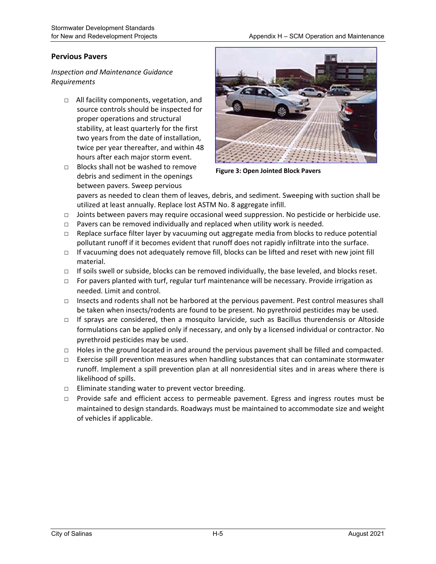### **Pervious Pavers**

*Inspection and Maintenance Guidance Requirements* 

- □ All facility components, vegetation, and source controls should be inspected for proper operations and structural stability, at least quarterly for the first two years from the date of installation, twice per year thereafter, and within 48 hours after each major storm event.
- □ Blocks shall not be washed to remove debris and sediment in the openings between pavers. Sweep pervious



**Figure 3: Open Jointed Block Pavers** 

pavers as needed to clean them of leaves, debris, and sediment. Sweeping with suction shall be utilized at least annually. Replace lost ASTM No. 8 aggregate infill.

- $\Box$  Joints between pavers may require occasional weed suppression. No pesticide or herbicide use.
- $\Box$  Pavers can be removed individually and replaced when utility work is needed.
- □ Replace surface filter layer by vacuuming out aggregate media from blocks to reduce potential pollutant runoff if it becomes evident that runoff does not rapidly infiltrate into the surface.
- □ If vacuuming does not adequately remove fill, blocks can be lifted and reset with new joint fill material.
- $\Box$  If soils swell or subside, blocks can be removed individually, the base leveled, and blocks reset.
- □ For pavers planted with turf, regular turf maintenance will be necessary. Provide irrigation as needed. Limit and control.
- $\Box$  Insects and rodents shall not be harbored at the pervious pavement. Pest control measures shall be taken when insects/rodents are found to be present. No pyrethroid pesticides may be used.
- □ If sprays are considered, then a mosquito larvicide, such as Bacillus thurendensis or Altoside formulations can be applied only if necessary, and only by a licensed individual or contractor. No pyrethroid pesticides may be used.
- □ Holes in the ground located in and around the pervious pavement shall be filled and compacted.
- □ Exercise spill prevention measures when handling substances that can contaminate stormwater runoff. Implement a spill prevention plan at all nonresidential sites and in areas where there is likelihood of spills.
- $\Box$  Eliminate standing water to prevent vector breeding.
- □ Provide safe and efficient access to permeable pavement. Egress and ingress routes must be maintained to design standards. Roadways must be maintained to accommodate size and weight of vehicles if applicable.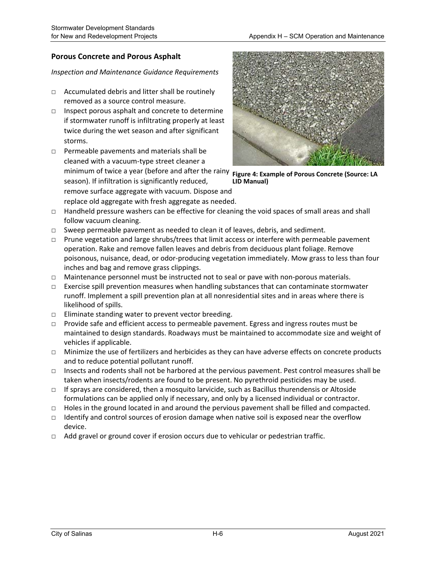## **Porous Concrete and Porous Asphalt**

- $\Box$  Accumulated debris and litter shall be routinely removed as a source control measure.
- $\Box$  Inspect porous asphalt and concrete to determine if stormwater runoff is infiltrating properly at least twice during the wet season and after significant storms.
- □ Permeable pavements and materials shall be cleaned with a vacuum‐type street cleaner a minimum of twice a year (before and after the rainy **Figure 4: Example of Porous Concrete (Source: LA**  season). If infiltration is significantly reduced, remove surface aggregate with vacuum. Dispose and replace old aggregate with fresh aggregate as needed.



**LID Manual)** 

- □ Handheld pressure washers can be effective for cleaning the void spaces of small areas and shall follow vacuum cleaning.
- $\Box$  Sweep permeable pavement as needed to clean it of leaves, debris, and sediment.
- □ Prune vegetation and large shrubs/trees that limit access or interfere with permeable pavement operation. Rake and remove fallen leaves and debris from deciduous plant foliage. Remove poisonous, nuisance, dead, or odor‐producing vegetation immediately. Mow grass to less than four inches and bag and remove grass clippings.
- □ Maintenance personnel must be instructed not to seal or pave with non-porous materials.
- $\square$  Exercise spill prevention measures when handling substances that can contaminate stormwater runoff. Implement a spill prevention plan at all nonresidential sites and in areas where there is likelihood of spills.
- □ Eliminate standing water to prevent vector breeding.
- □ Provide safe and efficient access to permeable pavement. Egress and ingress routes must be maintained to design standards. Roadways must be maintained to accommodate size and weight of vehicles if applicable.
- □ Minimize the use of fertilizers and herbicides as they can have adverse effects on concrete products and to reduce potential pollutant runoff.
- □ Insects and rodents shall not be harbored at the pervious pavement. Pest control measures shall be taken when insects/rodents are found to be present. No pyrethroid pesticides may be used.
- $\Box$  If sprays are considered, then a mosquito larvicide, such as Bacillus thurendensis or Altoside formulations can be applied only if necessary, and only by a licensed individual or contractor.
- $\Box$  Holes in the ground located in and around the pervious pavement shall be filled and compacted.
- $\Box$  Identify and control sources of erosion damage when native soil is exposed near the overflow device.
- $\Box$  Add gravel or ground cover if erosion occurs due to vehicular or pedestrian traffic.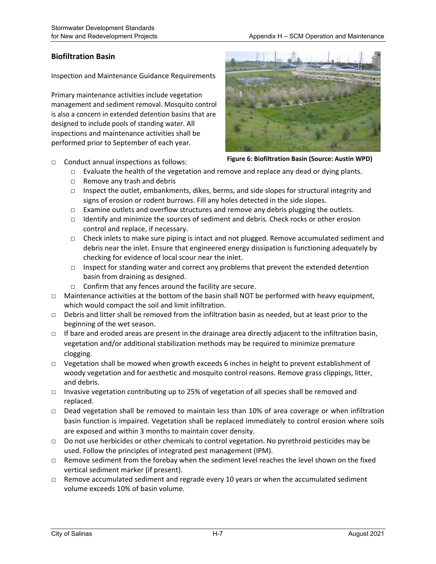### **Biofiltration Basin**

Inspection and Maintenance Guidance Requirements

Primary maintenance activities include vegetation management and sediment removal. Mosquito control is also a concern in extended detention basins that are designed to include pools of standing water. All inspections and maintenance activities shall be performed prior to September of each year.



- □ Conduct annual inspections as follows:
- **Figure 6: Biofiltration Basin (Source: Austin WPD)**
- $\Box$  Evaluate the health of the vegetation and remove and replace any dead or dying plants.
- □ Remove any trash and debris
- □ Inspect the outlet, embankments, dikes, berms, and side slopes for structural integrity and signs of erosion or rodent burrows. Fill any holes detected in the side slopes.
- $\Box$  Examine outlets and overflow structures and remove any debris plugging the outlets.
- $\Box$  Identify and minimize the sources of sediment and debris. Check rocks or other erosion control and replace, if necessary.
- □ Check inlets to make sure piping is intact and not plugged. Remove accumulated sediment and debris near the inlet. Ensure that engineered energy dissipation is functioning adequately by checking for evidence of local scour near the inlet.
- $\Box$  Inspect for standing water and correct any problems that prevent the extended detention basin from draining as designed.
- □ Confirm that any fences around the facility are secure.
- $\Box$  Maintenance activities at the bottom of the basin shall NOT be performed with heavy equipment, which would compact the soil and limit infiltration.
- $\Box$  Debris and litter shall be removed from the infiltration basin as needed, but at least prior to the beginning of the wet season.
- $\Box$  If bare and eroded areas are present in the drainage area directly adjacent to the infiltration basin, vegetation and/or additional stabilization methods may be required to minimize premature clogging.
- □ Vegetation shall be mowed when growth exceeds 6 inches in height to prevent establishment of woody vegetation and for aesthetic and mosquito control reasons. Remove grass clippings, litter, and debris.
- $\Box$  Invasive vegetation contributing up to 25% of vegetation of all species shall be removed and replaced.
- □ Dead vegetation shall be removed to maintain less than 10% of area coverage or when infiltration basin function is impaired. Vegetation shall be replaced immediately to control erosion where soils are exposed and within 3 months to maintain cover density.
- $\Box$  Do not use herbicides or other chemicals to control vegetation. No pyrethroid pesticides may be used. Follow the principles of integrated pest management (IPM).
- $\Box$  Remove sediment from the forebay when the sediment level reaches the level shown on the fixed vertical sediment marker (if present).
- $\Box$  Remove accumulated sediment and regrade every 10 years or when the accumulated sediment volume exceeds 10% of basin volume.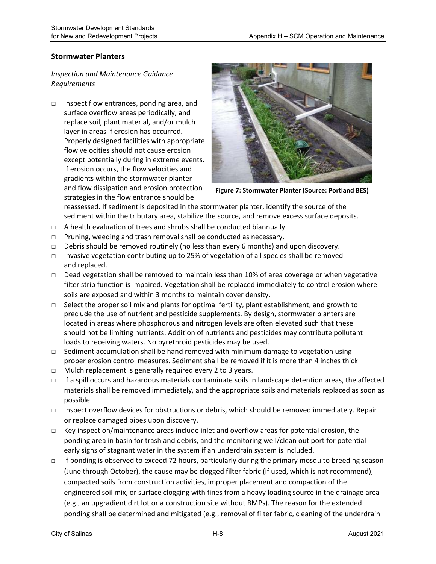### **Stormwater Planters**

## *Inspection and Maintenance Guidance Requirements*

□ Inspect flow entrances, ponding area, and surface overflow areas periodically, and replace soil, plant material, and/or mulch layer in areas if erosion has occurred. Properly designed facilities with appropriate flow velocities should not cause erosion except potentially during in extreme events. If erosion occurs, the flow velocities and gradients within the stormwater planter and flow dissipation and erosion protection strategies in the flow entrance should be



**Figure 7: Stormwater Planter (Source: Portland BES)**

reassessed. If sediment is deposited in the stormwater planter, identify the source of the sediment within the tributary area, stabilize the source, and remove excess surface deposits.

- □ A health evaluation of trees and shrubs shall be conducted biannually.
- $\Box$  Pruning, weeding and trash removal shall be conducted as necessary.
- $\Box$  Debris should be removed routinely (no less than every 6 months) and upon discovery.
- □ Invasive vegetation contributing up to 25% of vegetation of all species shall be removed and replaced.
- □ Dead vegetation shall be removed to maintain less than 10% of area coverage or when vegetative filter strip function is impaired. Vegetation shall be replaced immediately to control erosion where soils are exposed and within 3 months to maintain cover density.
- $\Box$  Select the proper soil mix and plants for optimal fertility, plant establishment, and growth to preclude the use of nutrient and pesticide supplements. By design, stormwater planters are located in areas where phosphorous and nitrogen levels are often elevated such that these should not be limiting nutrients. Addition of nutrients and pesticides may contribute pollutant loads to receiving waters. No pyrethroid pesticides may be used.
- $\Box$  Sediment accumulation shall be hand removed with minimum damage to vegetation using proper erosion control measures. Sediment shall be removed if it is more than 4 inches thick
- □ Mulch replacement is generally required every 2 to 3 years.
- □ If a spill occurs and hazardous materials contaminate soils in landscape detention areas, the affected materials shall be removed immediately, and the appropriate soils and materials replaced as soon as possible.
- □ Inspect overflow devices for obstructions or debris, which should be removed immediately. Repair or replace damaged pipes upon discovery.
- $\Box$  Key inspection/maintenance areas include inlet and overflow areas for potential erosion, the ponding area in basin for trash and debris, and the monitoring well/clean out port for potential early signs of stagnant water in the system if an underdrain system is included.
- $\Box$  If ponding is observed to exceed 72 hours, particularly during the primary mosquito breeding season (June through October), the cause may be clogged filter fabric (if used, which is not recommend), compacted soils from construction activities, improper placement and compaction of the engineered soil mix, or surface clogging with fines from a heavy loading source in the drainage area (e.g., an upgradient dirt lot or a construction site without BMPs). The reason for the extended ponding shall be determined and mitigated (e.g., removal of filter fabric, cleaning of the underdrain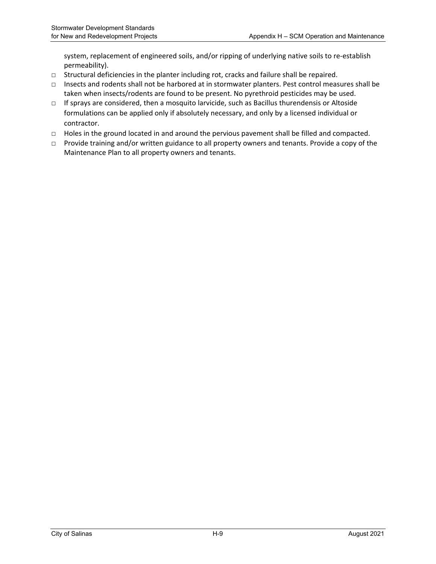system, replacement of engineered soils, and/or ripping of underlying native soils to re‐establish permeability).

- $\Box$  Structural deficiencies in the planter including rot, cracks and failure shall be repaired.
- □ Insects and rodents shall not be harbored at in stormwater planters. Pest control measures shall be taken when insects/rodents are found to be present. No pyrethroid pesticides may be used.
- $\Box$  If sprays are considered, then a mosquito larvicide, such as Bacillus thurendensis or Altoside formulations can be applied only if absolutely necessary, and only by a licensed individual or contractor.
- □ Holes in the ground located in and around the pervious pavement shall be filled and compacted.
- $\Box$  Provide training and/or written guidance to all property owners and tenants. Provide a copy of the Maintenance Plan to all property owners and tenants.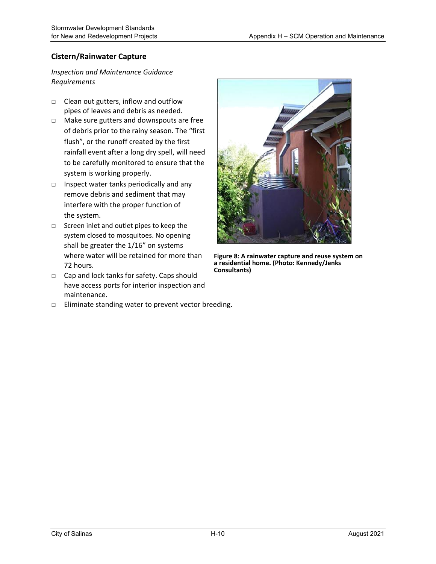## **Cistern/Rainwater Capture**

- □ Clean out gutters, inflow and outflow pipes of leaves and debris as needed.
- □ Make sure gutters and downspouts are free of debris prior to the rainy season. The "first flush", or the runoff created by the first rainfall event after a long dry spell, will need to be carefully monitored to ensure that the system is working properly.
- □ Inspect water tanks periodically and any remove debris and sediment that may interfere with the proper function of the system.
- □ Screen inlet and outlet pipes to keep the system closed to mosquitoes. No opening shall be greater the 1/16" on systems where water will be retained for more than 72 hours.
- □ Cap and lock tanks for safety. Caps should have access ports for interior inspection and maintenance.





**Figure 8: A rainwater capture and reuse system on a residential home. (Photo: Kennedy/Jenks Consultants)**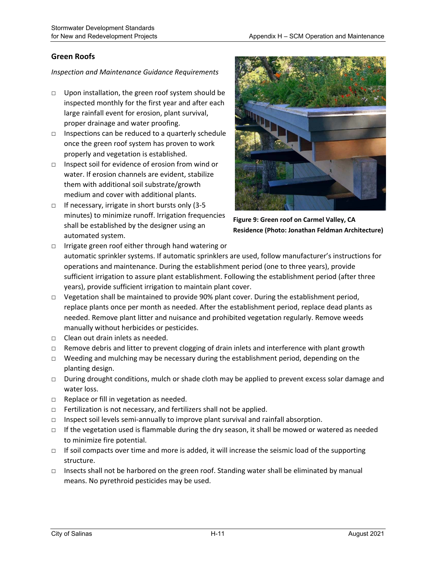### **Green Roofs**

- □ Upon installation, the green roof system should be inspected monthly for the first year and after each large rainfall event for erosion, plant survival, proper drainage and water proofing.
- $\Box$  Inspections can be reduced to a quarterly schedule once the green roof system has proven to work properly and vegetation is established.
- □ Inspect soil for evidence of erosion from wind or water. If erosion channels are evident, stabilize them with additional soil substrate/growth medium and cover with additional plants.
- □ If necessary, irrigate in short bursts only (3-5 minutes) to minimize runoff. Irrigation frequencies shall be established by the designer using an automated system.



**Figure 9: Green roof on Carmel Valley, CA Residence (Photo: Jonathan Feldman Architecture)**

- □ Irrigate green roof either through hand watering or automatic sprinkler systems. If automatic sprinklers are used, follow manufacturer's instructions for operations and maintenance. During the establishment period (one to three years), provide sufficient irrigation to assure plant establishment. Following the establishment period (after three years), provide sufficient irrigation to maintain plant cover.
- □ Vegetation shall be maintained to provide 90% plant cover. During the establishment period, replace plants once per month as needed. After the establishment period, replace dead plants as needed. Remove plant litter and nuisance and prohibited vegetation regularly. Remove weeds manually without herbicides or pesticides.
- □ Clean out drain inlets as needed.
- $\Box$  Remove debris and litter to prevent clogging of drain inlets and interference with plant growth
- $\Box$  Weeding and mulching may be necessary during the establishment period, depending on the planting design.
- □ During drought conditions, mulch or shade cloth may be applied to prevent excess solar damage and water loss.
- □ Replace or fill in vegetation as needed.
- □ Fertilization is not necessary, and fertilizers shall not be applied.
- $\Box$  Inspect soil levels semi-annually to improve plant survival and rainfall absorption.
- $\Box$  If the vegetation used is flammable during the dry season, it shall be mowed or watered as needed to minimize fire potential.
- $\Box$  If soil compacts over time and more is added, it will increase the seismic load of the supporting structure.
- □ Insects shall not be harbored on the green roof. Standing water shall be eliminated by manual means. No pyrethroid pesticides may be used.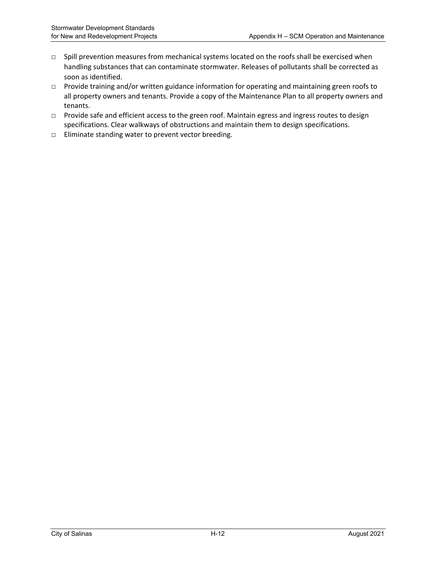- □ Spill prevention measures from mechanical systems located on the roofs shall be exercised when handling substances that can contaminate stormwater. Releases of pollutants shall be corrected as soon as identified.
- □ Provide training and/or written guidance information for operating and maintaining green roofs to all property owners and tenants. Provide a copy of the Maintenance Plan to all property owners and tenants.
- □ Provide safe and efficient access to the green roof. Maintain egress and ingress routes to design specifications. Clear walkways of obstructions and maintain them to design specifications.
- □ Eliminate standing water to prevent vector breeding.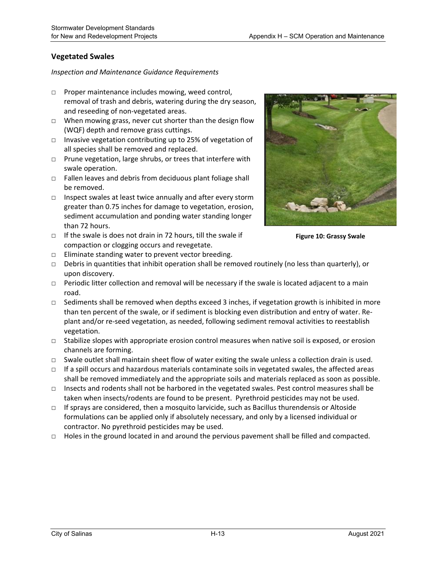## **Vegetated Swales**

#### *Inspection and Maintenance Guidance Requirements*

- □ Proper maintenance includes mowing, weed control, removal of trash and debris, watering during the dry season, and reseeding of non‐vegetated areas.
- □ When mowing grass, never cut shorter than the design flow (WQF) depth and remove grass cuttings.
- □ Invasive vegetation contributing up to 25% of vegetation of all species shall be removed and replaced.
- □ Prune vegetation, large shrubs, or trees that interfere with swale operation.
- $\Box$  Fallen leaves and debris from deciduous plant foliage shall be removed.
- □ Inspect swales at least twice annually and after every storm greater than 0.75 inches for damage to vegetation, erosion, sediment accumulation and ponding water standing longer than 72 hours.
- □ If the swale is does not drain in 72 hours, till the swale if compaction or clogging occurs and revegetate.

□ Eliminate standing water to prevent vector breeding.



**Figure 10: Grassy Swale**

- □ Debris in quantities that inhibit operation shall be removed routinely (no less than quarterly), or upon discovery.
- $\Box$  Periodic litter collection and removal will be necessary if the swale is located adjacent to a main road.
- $\Box$  Sediments shall be removed when depths exceed 3 inches, if vegetation growth is inhibited in more than ten percent of the swale, or if sediment is blocking even distribution and entry of water. Re‐ plant and/or re‐seed vegetation, as needed, following sediment removal activities to reestablish vegetation.
- □ Stabilize slopes with appropriate erosion control measures when native soil is exposed, or erosion channels are forming.
- □ Swale outlet shall maintain sheet flow of water exiting the swale unless a collection drain is used.
- $\Box$  If a spill occurs and hazardous materials contaminate soils in vegetated swales, the affected areas shall be removed immediately and the appropriate soils and materials replaced as soon as possible.
- □ Insects and rodents shall not be harbored in the vegetated swales. Pest control measures shall be taken when insects/rodents are found to be present. Pyrethroid pesticides may not be used.
- $\Box$  If sprays are considered, then a mosquito larvicide, such as Bacillus thurendensis or Altoside formulations can be applied only if absolutely necessary, and only by a licensed individual or contractor. No pyrethroid pesticides may be used.
- $\Box$  Holes in the ground located in and around the pervious pavement shall be filled and compacted.